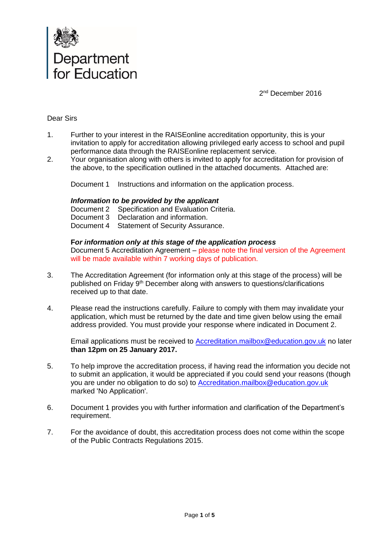

2<sup>nd</sup> December 2016

### Dear Sirs

- 1. Further to your interest in the RAISEonline accreditation opportunity, this is your invitation to apply for accreditation allowing privileged early access to school and pupil performance data through the RAISEonline replacement service.
- 2. Your organisation along with others is invited to apply for accreditation for provision of the above, to the specification outlined in the attached documents. Attached are:

Document 1 Instructions and information on the application process.

#### *Information to be provided by the applicant*

Document 2 Specification and Evaluation Criteria. Document 3 Declaration and information. Document 4 Statement of Security Assurance.

### **F***or information only at this stage of the application process*

Document 5 Accreditation Agreement – please note the final version of the Agreement will be made available within 7 working days of publication.

- 3. The Accreditation Agreement (for information only at this stage of the process) will be published on Friday 9<sup>th</sup> December along with answers to questions/clarifications received up to that date.
- 4. Please read the instructions carefully. Failure to comply with them may invalidate your application, which must be returned by the date and time given below using the email address provided. You must provide your response where indicated in Document 2.

Email applications must be received to [Accreditation.mailbox@education.gov.uk](mailto:Accreditation.mailbox@education.gov.uk) no later **than 12pm on 25 January 2017.**

- 5. To help improve the accreditation process, if having read the information you decide not to submit an application, it would be appreciated if you could send your reasons (though you are under no obligation to do so) to [Accreditation.mailbox@education.gov.uk](mailto:Accreditation.mailbox@education.gov.uk) marked 'No Application'.
- 6. Document 1 provides you with further information and clarification of the Department's requirement.
- 7. For the avoidance of doubt, this accreditation process does not come within the scope of the Public Contracts Regulations 2015.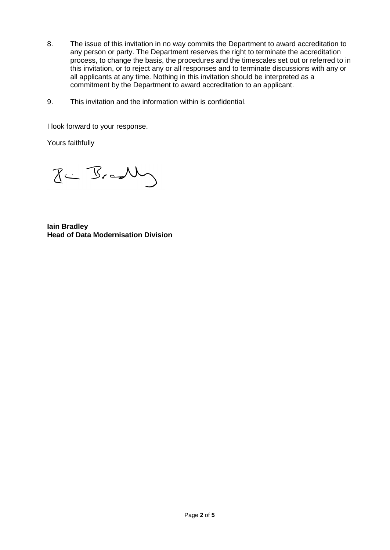- 8. The issue of this invitation in no way commits the Department to award accreditation to any person or party. The Department reserves the right to terminate the accreditation process, to change the basis, the procedures and the timescales set out or referred to in this invitation, or to reject any or all responses and to terminate discussions with any or all applicants at any time. Nothing in this invitation should be interpreted as a commitment by the Department to award accreditation to an applicant.
- 9. This invitation and the information within is confidential.

I look forward to your response.

Yours faithfully

 $Z \leftarrow B - \sqrt{2}$ 

**Iain Bradley Head of Data Modernisation Division**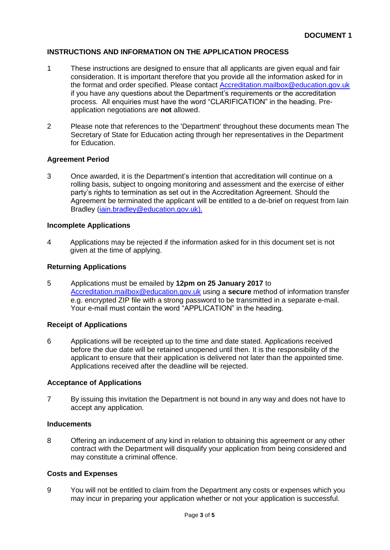## **INSTRUCTIONS AND INFORMATION ON THE APPLICATION PROCESS**

- 1 These instructions are designed to ensure that all applicants are given equal and fair consideration. It is important therefore that you provide all the information asked for in the format and order specified. Please contact [Accreditation.mailbox@education.gov.uk](mailto:Accreditation.mailbox@education.gov.uk) if you have any questions about the Department's requirements or the accreditation process. All enquiries must have the word "CLARIFICATION" in the heading. Preapplication negotiations are **not** allowed.
- 2 Please note that references to the 'Department' throughout these documents mean The Secretary of State for Education acting through her representatives in the Department for Education.

#### **Agreement Period**

3 Once awarded, it is the Department's intention that accreditation will continue on a rolling basis, subject to ongoing monitoring and assessment and the exercise of either party's rights to termination as set out in the Accreditation Agreement. Should the Agreement be terminated the applicant will be entitled to a de-brief on request from Iain Bradley [\(iain.bradley@education.gov.uk\)](mailto:iain.bradley@education.gov.uk).

### **Incomplete Applications**

4 Applications may be rejected if the information asked for in this document set is not given at the time of applying.

### **Returning Applications**

5 Applications must be emailed by **12pm on 25 January 2017** to [Accreditation.mailbox@education.gov.uk](mailto:Accreditation.mailbox@education.gov.uks) using a **secure** method of information transfer e.g. encrypted ZIP file with a strong password to be transmitted in a separate e-mail. Your e-mail must contain the word "APPLICATION" in the heading.

#### **Receipt of Applications**

6 Applications will be receipted up to the time and date stated. Applications received before the due date will be retained unopened until then. It is the responsibility of the applicant to ensure that their application is delivered not later than the appointed time. Applications received after the deadline will be rejected.

#### **Acceptance of Applications**

7 By issuing this invitation the Department is not bound in any way and does not have to accept any application.

#### **Inducements**

8 Offering an inducement of any kind in relation to obtaining this agreement or any other contract with the Department will disqualify your application from being considered and may constitute a criminal offence.

#### **Costs and Expenses**

9 You will not be entitled to claim from the Department any costs or expenses which you may incur in preparing your application whether or not your application is successful.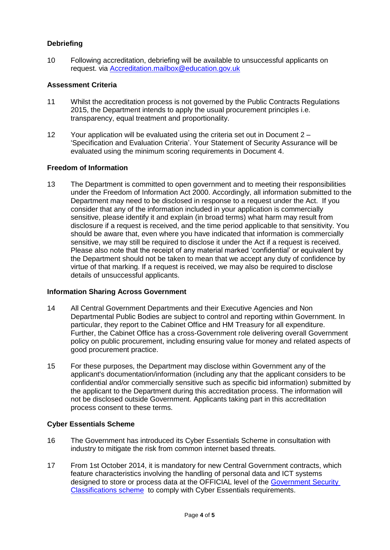# **Debriefing**

10 Following accreditation, debriefing will be available to unsuccessful applicants on request. via [Accreditation.mailbox@education.gov.uk](mailto:Accreditation.mailbox@education.gov.uk)

## **Assessment Criteria**

- 11 Whilst the accreditation process is not governed by the Public Contracts Regulations 2015, the Department intends to apply the usual procurement principles i.e. transparency, equal treatment and proportionality.
- 12 Your application will be evaluated using the criteria set out in Document 2 'Specification and Evaluation Criteria'. Your Statement of Security Assurance will be evaluated using the minimum scoring requirements in Document 4.

### **Freedom of Information**

13 The Department is committed to open government and to meeting their responsibilities under the Freedom of Information Act 2000. Accordingly, all information submitted to the Department may need to be disclosed in response to a request under the Act. If you consider that any of the information included in your application is commercially sensitive, please identify it and explain (in broad terms) what harm may result from disclosure if a request is received, and the time period applicable to that sensitivity. You should be aware that, even where you have indicated that information is commercially sensitive, we may still be required to disclose it under the Act if a request is received. Please also note that the receipt of any material marked 'confidential' or equivalent by the Department should not be taken to mean that we accept any duty of confidence by virtue of that marking. If a request is received, we may also be required to disclose details of unsuccessful applicants.

## **Information Sharing Across Government**

- 14 All Central Government Departments and their Executive Agencies and Non Departmental Public Bodies are subject to control and reporting within Government. In particular, they report to the Cabinet Office and HM Treasury for all expenditure. Further, the Cabinet Office has a cross-Government role delivering overall Government policy on public procurement, including ensuring value for money and related aspects of good procurement practice.
- 15 For these purposes, the Department may disclose within Government any of the applicant's documentation/information (including any that the applicant considers to be confidential and/or commercially sensitive such as specific bid information) submitted by the applicant to the Department during this accreditation process. The information will not be disclosed outside Government. Applicants taking part in this accreditation process consent to these terms.

## **Cyber Essentials Scheme**

- 16 The Government has introduced its Cyber Essentials Scheme in consultation with industry to mitigate the risk from common internet based threats.
- 17 From 1st October 2014, it is mandatory for new Central Government contracts, which feature characteristics involving the handling of personal data and ICT systems designed to store or process data at the OFFICIAL level of the [Government Security](https://www.gov.uk/government/publications/government-security-classifications)  [Classifications scheme](https://www.gov.uk/government/publications/government-security-classifications) to comply with Cyber Essentials requirements.